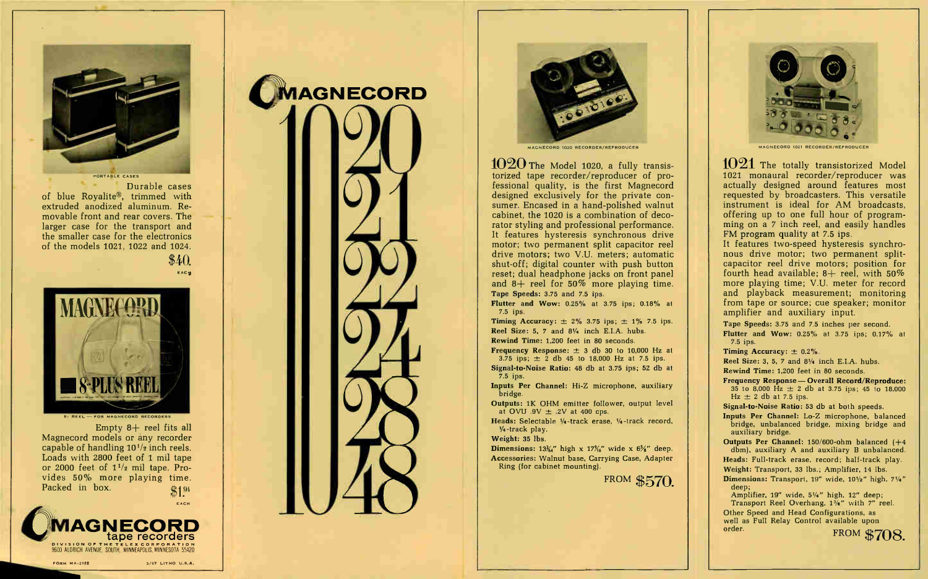

Durable cases of blue Royalite®, trimmed with extruded anodized aluminum. Removable front and rear covers. The larger case for the transport and the smaller case for the electronics of the models 1021, 1022 and 1024.

\$40.

**EACH** 



Empty  $8+$  reel fits all

Magnecord models or any recorder capable of handling  $10^{1/2}$  inch reels. Loads with 2800 feet of 1 mil tape or 2000 feet of  $1^{1/2}$  mil tape. Provides 50% more playing time. Packed in box.  $$1<sup>94</sup>$ 



FORM MA-2122 3/67 LITHO U.S.A.





MAGNECORD 1020 RECORDER/REPRODUCER

1020 The Model 1020, a fully transistorized tape recorder/reproducer of professional quality, is the first Magnecord designed exclusively for the private consumer. Encased in a hand-polished walnut cabinet, the 1020 is a combination of decorator styling and professional performance. It features hysteresis synchronous drive motor; two permanent split capacitor reel drive motors; two V.U. meters; automatic shut-off; digital counter with push button reset; dual headphone jacks on front panel and  $8+$  reel for 50% more playing time. Tape Speeds: 3.75 and 7.5 ips.

Flutter and Wow: 0.25% at 3.75 ips; 0.18% at 7.5 ips.

**Timing Accuracy:**  $\pm$  2% 3.75 ips;  $\pm$  1% 7.5 ips. Reel Size: 5, 7 and 81/4 inch E.I.A. hubs. Rewind Time: 1,200 feet in 80 seconds.

**Frequency Response:**  $\pm$  3 db 30 to 10,000 Hz at 3.75 ips;  $\pm$  2 db 45 to 18,000 Hz at 7.5 ips.

Signal-to-Noise Ratio: 48 db at 3.75 ips; 52 db at 7.5 ips.

Inputs Per Channel: Hi-Z microphone, auxiliary bridge.

Outputs: 1K OHM emitter follower, output level at OVU .9V  $\pm$  .2V at 400 cps.

Heads: Selectable  $\frac{1}{4}$ -track erase,  $\frac{1}{4}$ -track record,  $-4$ -track play.

Weight: 35 lbs.

**Dimensions:** 13%<sup>"</sup> high x 17%" wide x  $6\frac{5}{8}$ " deep. Accessories: Walnut base, Carrying Case, Adapter Ring (for cabinet mounting).

FROM \$570.



MAGNECORD 1021 RECORDER, REPRODUCER

1021 The totally transistorized Model 1021 monaural recorder/reproducer was actually designed around features most requested by broadcasters. This versatile instrument is ideal for AM broadcasts, offering up to one full hour of programming on a 7 inch reel, and easily handles FM program quality at 7.5 ips.

It features two-speed hysteresis synchronous drive motor; two permanent splitcapacitor reel drive motors; position for fourth head available;  $8+$  reel, with  $50\%$ more playing time; V.U. meter for record and playback measurement; monitoring from tape or source; cue speaker; monitor amplifier and auxiliary input.

Tape Speeds: 3.75 and 7.5 inches per second. Flutter and Wow: 0.25% at 3.75 ips; 0.17% at 7.5 ips.

Timing Accuracy:  $\pm$  0.2%.

Reel Size: 3, 5, 7 and  $8\frac{1}{4}$  inch E.I.A. hubs. Rewind Time: 1,200 feet in 80 seconds.

Frequency Response— Overall Record/Reproduce: 35 to 8,000 Hz  $\pm$  2 db at 3.75 ips; 45 to 18,000

 $Hz \pm 2 db$  at 7.5 ips. Signal-to-Noise Ratio: 53 db at both speeds.

Inputs Per Channel: Lo-Z microphone, balanced bridge, unbalanced bridge, mixing bridge and auxiliary bridge.

Outputs Per Channel: 150/600-ohm balanced (+4 dbm), auxiliary A and auxiliary B unbalanced.

Heads: Full-track erase, record; half-track play. Weight: Transport, 33 lbs.; Amplifier, 14 lbs.

Dimensions: Transport,  $19''$  wide,  $10\frac{1}{2}$ " high,  $7\frac{1}{4}$ " deep;

Amplifier,  $19''$  wide,  $5\frac{1}{4}$ " high,  $12''$  deep; Transport Reel Overhang,  $1\frac{3}{4}$ " with 7" reel. Other Speed and Head Configurations, as well as Full Relay Control available upon order. FROM \$708.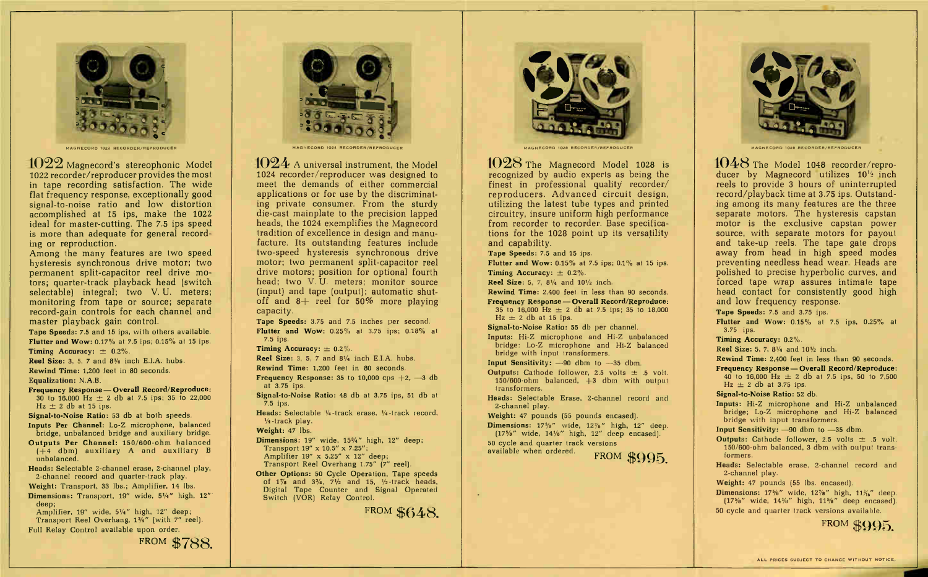

MAGNECORD 1022 RECORDER/REPRODUCER

1022 Magnecord's stereophonic Model 1022 recorder/reproducer provides the most in tape recording satisfaction. The wide flat frequency response, exceptionally good signal-to-noise ratio and low distortion accomplished at 15 ips, make the 1022 ideal for master-cutting. The 7.5 ips speed is more than adequate for general recording or reproduction.

Among the many features are two speed hysteresis synchronous drive motor; two permanent split-capacitor reel drive motors: quarter-track playback head (switch selectable) integral; two V.U. meters; monitoring from tape or source; separate record-gain controls for each channel and master playback gain control.

Tape Speeds: 7.5 and 15 ips, with others available. Flutter and Wow: 0.17% at 7.5 ips; 0.15% at 15 ips.

Timing Accuracy:  $\pm$  0.2%.

Reel Size: 3, 5, 7 and  $8\frac{1}{4}$  inch E.I.A. hubs. Rewind Time: 1.200 feet in 80 seconds.

Equalization: N.A.B.

Frequency Response - Overall Record/Reproduce: 30 to 16,000 Hz  $\pm$  2 db at 7.5 ips; 35 to 22,000  $Hz \pm 2$  db at 15 ips.

Signal-to-Noise Ratio: 53 db at both speeds.

Inputs Per Channel: Lo-Z microphone, balanced bridge, unbalanced bridge and auxiliary bridge.

Outputs Per Channel: 150/600-ohm balanced  $(+4$  dbm) auxiliary A and auxiliary B unbalanced.

Heads: Selectable 2-channel erase, 2-channel play, 2-channel record and quarter-track play.

Weight: Transport, 33 lbs.; Amplifier, 14 lbs.

Dimensions: Transport, 19" wide, 51/4" high, 12" deep;

Amplifier, 19" wide, 5¼" high, 12" deep; Transport Reel Overhang, 13/4" (with 7" reel). Full Relay Control available upon order.

FROM \$788



MAGNECORD 1024 RECORDER/REPRODUCER

 $1024$  A universal instrument, the Model 1024 recorder/reproducer was designed to meet the demands of either commercial applications or for use by the discriminating private consumer. From the sturdy die-cast mainplate to the precision lapped heads, the 1024 exemplifies the Magnecord tradition of excellence in design and manufacture. Its outstanding features include two-speed hysteresis synchronous drive motor; two permanent split-capacitor reel drive motors; position for optional fourth head: two V.U. meters; monitor source (input) and tape (output); automatic shutoff and  $8+$  reel for 50% more playing capacity.

Tape Speeds: 3.75 and 7.5 inches per second. Flutter and Wow:  $0.25\%$  at 3.75 ips;  $0.18\%$  at  $7.5$  ips.

Timing Accuracy:  $\pm$  0.2%.

Reel Size: 3, 5, 7 and 8<sup>1</sup>/<sub>4</sub> inch E.I.A. hubs.

Rewind Time: 1.200 feet in 80 seconds.

**Frequency Response:** 35 to 10,000 cps  $+2$ ,  $-3$  db at 3.75 ips.

Signal-to-Noise Ratio: 48 db at 3.75 ips, 51 db at  $7.5$  ips.

Heads: Selectable 1/4-track erase, 1/4-track record,  $\frac{1}{4}$ -track play.

Weight: 47 lbs.

Dimensions: 19" wide, 15%" high, 12" deep; Transport 19" x 10.5" x 7.25"; Amplifier 19" x 5.25" x 12" deep:

Transport Reel Overhang 1.75" [7" reel].

Other Options: 50 Cycle Operation, Tape speeds of  $1\%$  and  $3\%$ ,  $7\%$  and  $15$ ,  $\%$ -track heads, Digital Tape Counter and Signal Operated Switch (VOR) Relay Control.

FROM \$648.



MAGNECORD 1028 RECORDER/REPRODUCER

1028 The Magnecord Model 1028 is recognized by audio experts as being the finest in professional quality recorder/ reproducers. Advanced circuit design, utilizing the latest tube types and printed circuitry, insure uniform high performance from recorder to recorder. Base specifications for the 1028 point up its versatility and capability.

Tape Speeds: 7.5 and 15 ips.

Flutter and Wow:  $0.15\%$  at 7.5 ips;  $0.1\%$  at 15 ips.

Timing Accuracy:  $\pm$  0.2%. **Reel Size:** 5, 7,  $8\frac{1}{4}$  and  $10\frac{1}{2}$  inch. Rewind Time: 2,400 feet in less than 90 seconds. Frequency Response - Overall Record/Reproduce: 35 to 16,000 Hz  $\pm$  2 db at 7.5 ips; 35 to 18,000  $Hz \pm 2 db$  at 15 ips.

Signal-to-Noise Ratio: 55 db per channel.

Inputs: Hi-Z microphone and Hi-Z unbalanced bridge: Lo-Z microphone and Hi-Z balanced bridge with input transformers.

Input Sensitivity:  $-90$  dbm to  $-35$  dbm.

**Outputs:** Cathode follower, 2.5 volts  $\pm$  .5 volt.  $150/600$ -ohm balanced,  $+3$  dbm with output transformers.

Heads: Selectable Erase, 2-channel record and 2-channel play.

Weight: 47 pounds (55 pounds encased).

Dimensions:  $17\frac{5}{6}$ " wide.  $12\frac{7}{6}$ " high.  $12$ " deep.  $(17\%$ " wide,  $14\%$ " high, 12" deep encased). 50 cycle and quarter track versions available when ordered.

FROM \$995.



 $1048$  The Model 1048 recorder/reproducer by Magnecord utilizes 10<sup>14</sup> inch reels to provide 3 hours of uninterrupted record/playback time at 3.75 ips. Outstanding among its many features are the three separate motors. The hysteresis capstan motor is the exclusive capstan power source, with separate motors for payout and take-up reels. The tape gate drops away from head in high speed modes preventing needless head wear. Heads are polished to precise hyperbolic curves, and forced tape wrap assures intimate tape head contact for consistently good high and low frequency response.

Tape Speeds: 7.5 and 3.75 ips.

Flutter and Wow: 0.15% at 7.5 ips, 0.25% at 3.75 ips.

Timing Accuracy: 0.2%.

**Reel Size:** 5, 7, 8 $\frac{1}{4}$  and 10 $\frac{1}{2}$  inch.

Rewind Time: 2,400 feet in less than 90 seconds.

Frequency Response - Overall Record/Reproduce: 40 to 16,000 Hz  $\pm$  2 db at 7.5 ips, 50 to 7,500  $Hz \pm 2$  db at 3.75 ips.

Signal-to-Noise Ratio: 52 db.

Inputs: Hi-Z microphone and Hi-Z unbalanced bridge; Lo-Z microphone and Hi-Z balanced bridge with input transformers.

Input Sensitivity: -90 dbm to -35 dbm.

**Outputs:** Cathode follower, 2.5 volts  $\pm$  .5 volt. 150/600-ohm balanced, 3 dbm with output transformers.

Heads: Selectable erase, 2-channel record and 2-channel play.

Weight: 47 pounds (55 lbs. encased).

Dimensions:  $17\frac{5}{6}$ " wide,  $12\frac{7}{6}$ " high,  $11\frac{1}{6}$ " deep.  $(17\%$ " wide,  $14\%$ " high,  $11\%$ " deep encased). 50 cycle and quarter track versions available.

FROM ROOD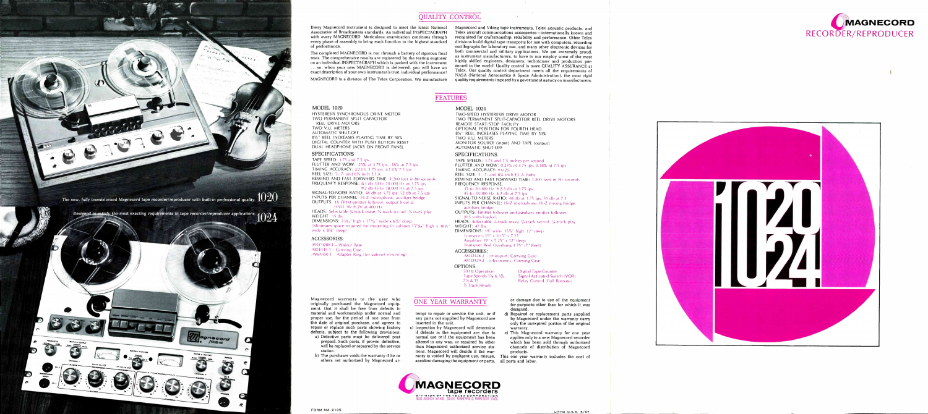

## QUALITY CONTROL

Every Magnecord instrument is designed to meet the latest National Association of Broadcasters standards. An individual INSPECTAGRAPH with every MAGNECORD. Meticulous examination continues through every phase of assembly to bring each function to the highest standard of performance.

The completed MAGNECORD is run through a battery of rigorous final tests. The comprehensive results are registered by the testing engineer on an individual INSPECTAGRAPH which is packed with the instrument ... so, when your new MAGNECORD is delivered, you will have an exact description of your own instrument's true, individual performance!

MAGNECORD is a division of The Telex Corporation. We manufacture

81/4" REEL INCREASES PLAYING TIME BY 50% DIGITAL COUNTER WITH PUSH BUTTON RESET DUAL HEADPHONE JACKS ON FRONT PANEL

FLUTTER AND WOW: .25% at 3.75 ips; .18% at 7.5 ips TIMING ACCURACY:  $\pm 2.0\%$  3.75 ips;  $\pm 1.0\%$  7.5 ips

REWIND AND FAST FORWARD TIME: 1,200 feet in 80 seconds FREQUENCY RESPONSE:  $\pm 3$  dh 30 to 10 000 Hz at 3.75 ips

SIGNAL-TO-NOISE RATIO:  $48$  db at 3.75 ips; 52 db at 7.5 ips. INPUTS PER CHANNEL: Hi-Z microphone, auxiliary bridge OUTPUTS: 1K OHM emitter follower, output level at 0 VU .9V ±.2V at 400 Hz

IIEADS: Selectable %-track erase, %-track record, % track play-

(Minimum space required for mounting in cabinet  $15$ %4" high x  $18\frac{1}{4}$ "

DIMENSIONS:  $13\frac{1}{2}$ ." high x  $17\frac{9}{2}$ ." wide x 6 $\frac{5}{2}$ ." deep

Magnecord and Viking tape instruments. Telex acoustic products, and Telex aircraft communications accessories — internationally known and recognized for craftsmanship, reliability and performance. Other Telex divisions build digital tape transports for use with computers, recording oscillographs for laboratory use, and many other electronic devices for both commercial and military applications. We are extremely proud. as instrument manufacturers. to have in our employ some of the most highly skilled engineers, designers, technicians and production personnel in the world! Quality control is more QUALITY ASSURANCE at Telex. Our quality control department meets all the requirements of NASA (National Aeronautics & Space Administration), the most rigid quality requirements imposed by a government agency on manufacturers.

wide  $x 8\%$ " deep) ACCESSORIES:

## FEATURES

MODEL 1020

HYSTERESIS SYNCHRONOUS DRIVE MOTOR TWO PERMANENT SPLIT CAPACITOR

REEL DRIVE MOTORS TWO V.U. METERS AUTOMATIC SHUT-OFF

> TAPE SPEEDS: 3.75 and 7.5 inches per second FLUTTER AND WOW: 0.25% at 3.75 ips; 0.18% at 7.5 ips TIMING ACCURACY: ±0.2% REEL SIZE:  $5-$ ,  $7-$  and  $8\%$  inch E.I.A. hubs. REWIND AND FAST FORWARD TIME: 1,200 feet in 80 seconds FREQUENCY RESPONSE: SIGNAL-TO-NOISE RATIO: 48 db at 3.75 ips; 51 db at 7.5 INPUTS PER CHANNEL: Hi-Z microphone, Hi-Z mixing bridge, OUTPUTS: Emitter follower and auxiliary emitter follower HEADS: Selectable 1/4-track erase, 1/4-track record, 1/4-track play WEIGHT: 47 lbs. DIMENSIONS: 19" wide. 15%" high. 12" deep.

SPECIFICATIONS TAPE SPEED: 3.75 and 7.5 ips

WEIGHT: 35 lbs.

 $35$  to 10,000 Hz  $+2-3$  db at 3.75 ips; 45 to 18,000 Hz  $\pm 2$  db at 7.5 ips auxiliary bridge (0.5 volts-loaded)

Transports  $19'' \times 10.5'' \times 7.25^{\circ}$ Amplifier 19" x 5.25" x 12" deep

A91C9288-1 —Walnut Base A81E145-1 —Carrying Case

REEL SIZE: 5-, 7- and 81/4 inch E.I.A.

A96A450-1 Adapter Ring (for cabinet mounting)

 $\pm$ 2 db 45 to 18,000 Hz at 7.5 ips

Magnecord warrants to the user who originally purchased the Magnecord equipment, that it shall be free from defects in material and workmanship under normal and proper use, for the period of one year from the date of original purchase, and agrees to repair or replace such parts showing factory c) Inspection by Magnecord will determine defects, subject to the following provisions: a) Defective parts must be delivered post prepaid. Such parts, if proven defective, will be replaced or repaired by the service station.

b) The purchaser voids the warranty if he or others not authorized by Magnecord at-

FORM MA-2135

MODEL 1024

TWO-SPEED HYSTERESIS DRIVE MOTOR TWO PERMANENT SPLIT-CAPACITOR REEL DRIVE MOTORS REMOTE START/STOP FACILITY OPTIONAL POSITION FOR FOURTH HEAD 8'/." REEL INCREASES PLAYING TIME BY 50% TWO V.U. METERS MONITOR SOURCE (input) AND TAPE (output) AUTOMATIC SHUT-OFF

# **SPECIFICATIONS**

Tape Speeds  $1\% \& 3\%$ , Signal Activated Switch (VOR)  $7\% \& 15$  Relay Control (Full Remote) Relay Control (Full Remote)

- 
- 

Transport Reel Overhang 1.75" (7" Reel) ACCESSORIES: A81D128-2 - (transport) Carrying Case A81D129-2 (electronics) Carrying Case

OPTIONS: 50 Hz Operation Digital Tape Counter

'h Track Heads

# ONE YEAR WARRANTY

tempt to repair or service the unit, or if any parts not supplied by Magnecord are inserted in the unit.

or damage due to use of the equipment for purposes other than for which it was designed.

if defects in the equipment are due to normal use or if the equipment has been altered in any way, or repaired by other than Magnecord authorized service stations. Magnecord will decide if the warranty is voided by negligent use, misuse, This one year warranty includes the cost of accident damaging the equipment or parts. all parts and labor. warranty. e) This Magnecord warranty for one year applies only to a new Magnecord recorder which has been sold through authorized channels of distribution of Magnecord products.

d) Repaired or replacement parts supplied by Magnecord under the warranty carry only the unexpired portion of the original



LITHO U.S.A. 6/67